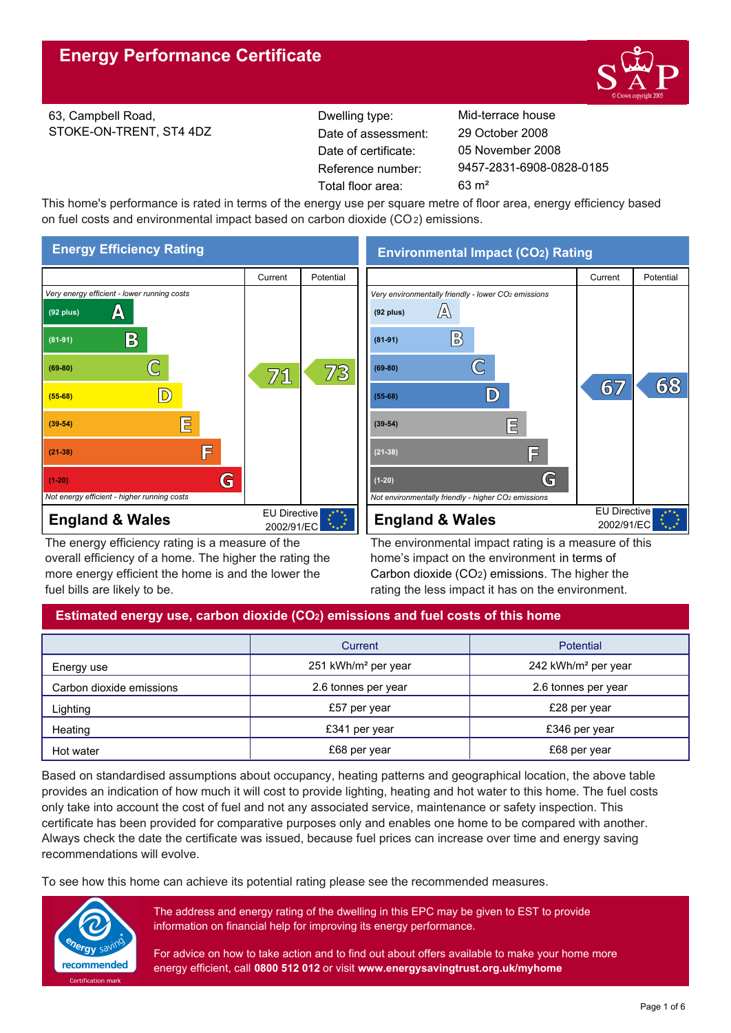

63, Campbell Road, STOKE-ON-TRENT, ST4 4DZ Reference number: Dwelling type: Mid-terrace house Date of certificate: Total floor area: 63 m² Date of assessment:

9457-2831-6908-0828-0185 05 November 2008 29 October 2008

This home's performance is rated in terms of the energy use per square metre of floor area, energy efficiency based on fuel costs and environmental impact based on carbon dioxide (CO2) emissions.



The energy efficiency rating is a measure of the overall efficiency of a home. The higher the rating the more energy efficient the home is and the lower the fuel bills are likely to be.

**Environmental Impact (CO2) Rating**



The environmental impact rating is a measure of this home's impact on the environment in terms of Carbon dioxide (CO2) emissions. The higher the rating the less impact it has on the environment.

# **Estimated energy use, carbon dioxide (CO2) emissions and fuel costs of this home**

|                          | Current                         | <b>Potential</b>                |  |
|--------------------------|---------------------------------|---------------------------------|--|
| Energy use               | 251 kWh/m <sup>2</sup> per year | 242 kWh/m <sup>2</sup> per year |  |
| Carbon dioxide emissions | 2.6 tonnes per year             | 2.6 tonnes per year             |  |
| Lighting                 | £57 per year                    | £28 per year                    |  |
| Heating                  | £341 per year                   | £346 per year                   |  |
| Hot water                | £68 per year                    | £68 per year                    |  |

Based on standardised assumptions about occupancy, heating patterns and geographical location, the above table provides an indication of how much it will cost to provide lighting, heating and hot water to this home. The fuel costs only take into account the cost of fuel and not any associated service, maintenance or safety inspection. This certificate has been provided for comparative purposes only and enables one home to be compared with another. Always check the date the certificate was issued, because fuel prices can increase over time and energy saving recommendations will evolve.

To see how this home can achieve its potential rating please see the recommended measures.



The address and energy rating of the dwelling in this EPC may be given to EST to provide information on financial help for improving its energy performance.

For advice on how to take action and to find out about offers available to make your home more energy efficient, call **0800 512 012** or visit **www.energysavingtrust.org.uk/myhome**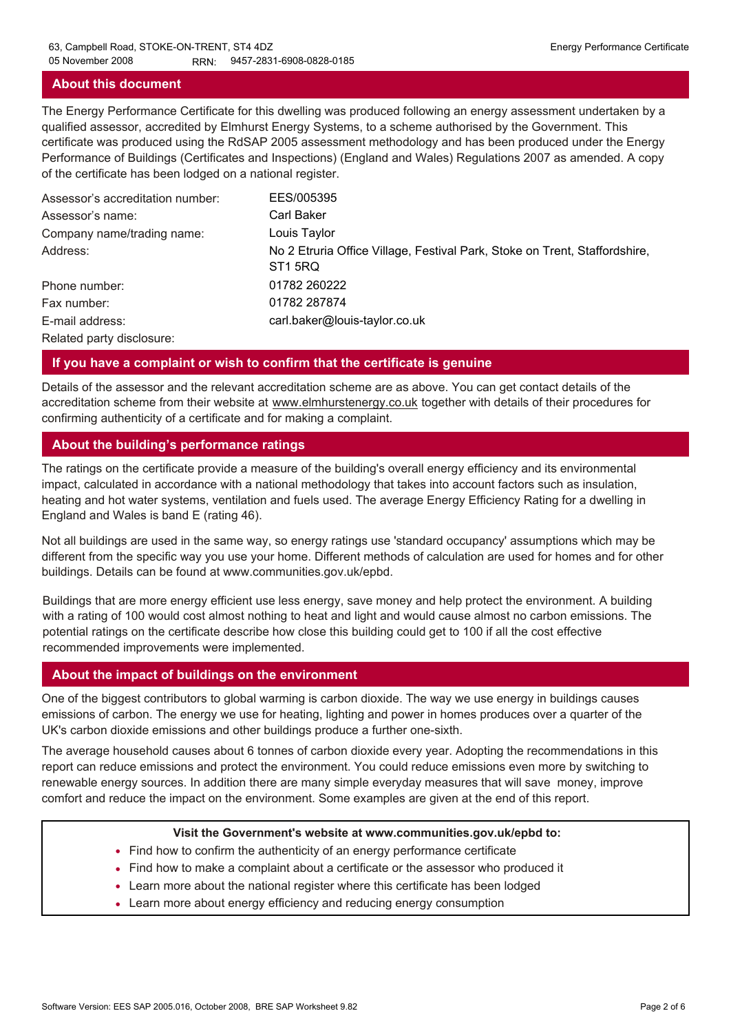# **About this document**

The Energy Performance Certificate for this dwelling was produced following an energy assessment undertaken by a qualified assessor, accredited by Elmhurst Energy Systems, to a scheme authorised by the Government. This certificate was produced using the RdSAP 2005 assessment methodology and has been produced under the Energy Performance of Buildings (Certificates and Inspections) (England and Wales) Regulations 2007 as amended. A copy of the certificate has been lodged on a national register.

| Assessor's accreditation number: | EES/005395                                                                                        |
|----------------------------------|---------------------------------------------------------------------------------------------------|
| Assessor's name:                 | Carl Baker                                                                                        |
| Company name/trading name:       | Louis Taylor                                                                                      |
| Address:                         | No 2 Etruria Office Village, Festival Park, Stoke on Trent, Staffordshire,<br>ST <sub>1</sub> 5RQ |
| Phone number:                    | 01782 260222                                                                                      |
| Fax number:                      | 01782 287874                                                                                      |
| E-mail address:                  | carl.baker@louis-taylor.co.uk                                                                     |
| Related party disclosure:        |                                                                                                   |

# **If you have a complaint or wish to confirm that the certificate is genuine**

Details of the assessor and the relevant accreditation scheme are as above. You can get contact details of the accreditation scheme from their website at www.elmhurstenergy.co.uk together with details of their procedures for confirming authenticity of a certificate and for making a complaint.

# **About the building's performance ratings**

The ratings on the certificate provide a measure of the building's overall energy efficiency and its environmental impact, calculated in accordance with a national methodology that takes into account factors such as insulation, heating and hot water systems, ventilation and fuels used. The average Energy Efficiency Rating for a dwelling in England and Wales is band E (rating 46).

Not all buildings are used in the same way, so energy ratings use 'standard occupancy' assumptions which may be different from the specific way you use your home. Different methods of calculation are used for homes and for other buildings. Details can be found at www.communities.gov.uk/epbd.

Buildings that are more energy efficient use less energy, save money and help protect the environment. A building with a rating of 100 would cost almost nothing to heat and light and would cause almost no carbon emissions. The potential ratings on the certificate describe how close this building could get to 100 if all the cost effective recommended improvements were implemented.

# **About the impact of buildings on the environment**

One of the biggest contributors to global warming is carbon dioxide. The way we use energy in buildings causes emissions of carbon. The energy we use for heating, lighting and power in homes produces over a quarter of the UK's carbon dioxide emissions and other buildings produce a further one-sixth.

The average household causes about 6 tonnes of carbon dioxide every year. Adopting the recommendations in this report can reduce emissions and protect the environment. You could reduce emissions even more by switching to renewable energy sources. In addition there are many simple everyday measures that will save money, improve comfort and reduce the impact on the environment. Some examples are given at the end of this report.

### **Visit the Government's website at www.communities.gov.uk/epbd to:**

- Find how to confirm the authenticity of an energy performance certificate
- Find how to make a complaint about a certificate or the assessor who produced it •
- Learn more about the national register where this certificate has been lodged •
- Learn more about energy efficiency and reducing energy consumption •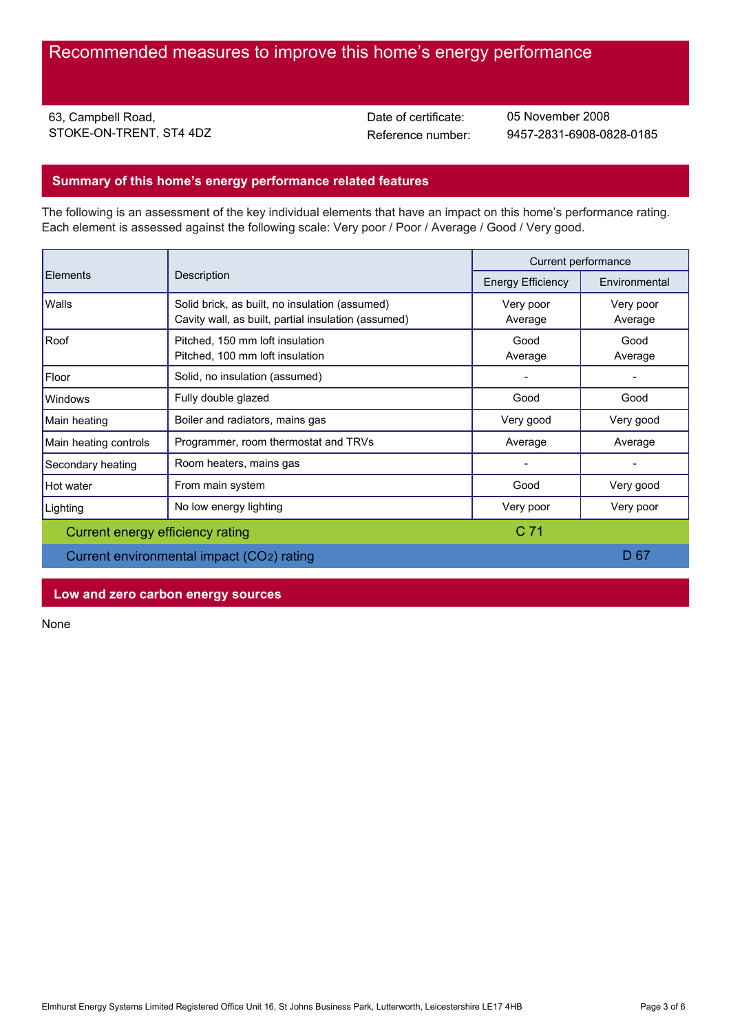63, Campbell Road, STOKE-ON-TRENT, ST4 4DZ Date of certificate:

Reference number: 9457-2831-6908-0828-0185 05 November 2008

# **Summary of this home's energy performance related features**

The following is an assessment of the key individual elements that have an impact on this home's performance rating. Each element is assessed against the following scale: Very poor / Poor / Average / Good / Very good.

| Elements                         | Description                                                                                           | Current performance      |                      |
|----------------------------------|-------------------------------------------------------------------------------------------------------|--------------------------|----------------------|
|                                  |                                                                                                       | <b>Energy Efficiency</b> | Environmental        |
| Walls                            | Solid brick, as built, no insulation (assumed)<br>Cavity wall, as built, partial insulation (assumed) | Very poor<br>Average     | Very poor<br>Average |
| Roof                             | Pitched, 150 mm loft insulation<br>Pitched, 100 mm loft insulation                                    | Good<br>Average          | Good<br>Average      |
| Floor                            | Solid, no insulation (assumed)                                                                        |                          |                      |
| <b>Windows</b>                   | Fully double glazed                                                                                   | Good                     | Good                 |
| Main heating                     | Boiler and radiators, mains gas                                                                       | Very good                | Very good            |
| Main heating controls            | Programmer, room thermostat and TRVs                                                                  | Average                  | Average              |
| Secondary heating                | Room heaters, mains gas                                                                               |                          |                      |
| Hot water                        | From main system                                                                                      | Good                     | Very good            |
| Lighting                         | No low energy lighting                                                                                | Very poor                | Very poor            |
| Current energy efficiency rating |                                                                                                       | C <sub>71</sub>          |                      |
|                                  | Current environmental impact (CO2) rating                                                             |                          | D 67                 |

# **Low and zero carbon energy sources**

None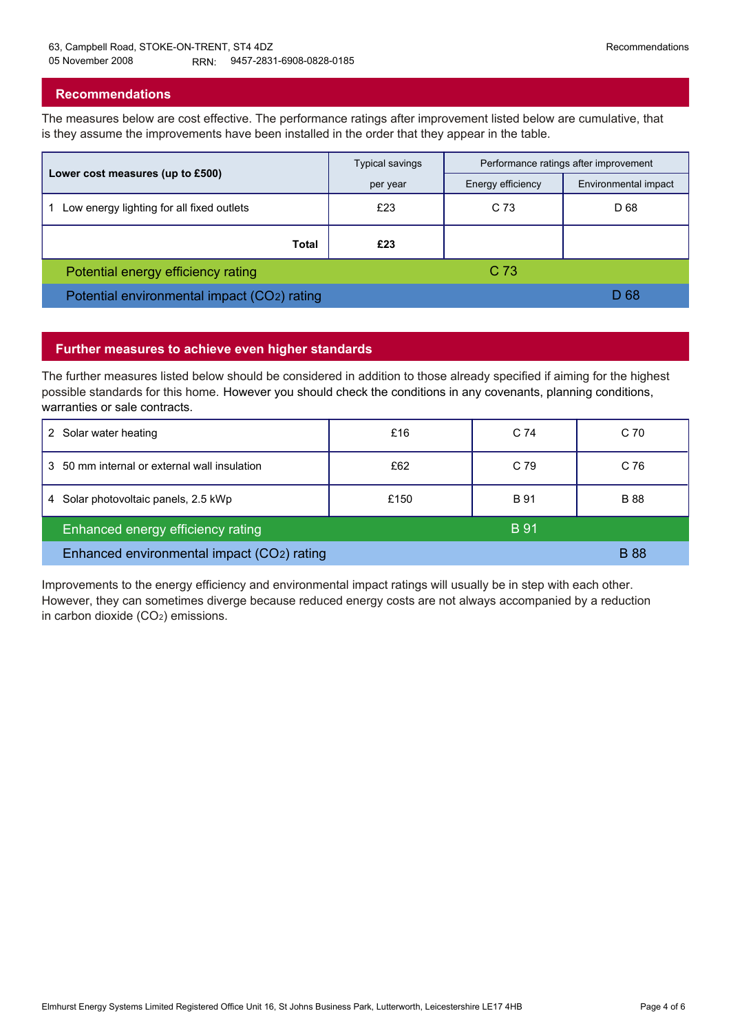# **Recommendations**

The measures below are cost effective. The performance ratings after improvement listed below are cumulative, that is they assume the improvements have been installed in the order that they appear in the table.

|                                             | <b>Typical savings</b> | Performance ratings after improvement |                      |
|---------------------------------------------|------------------------|---------------------------------------|----------------------|
| Lower cost measures (up to £500)            | per year               | Energy efficiency                     | Environmental impact |
| Low energy lighting for all fixed outlets   | £23                    | C 73                                  | D 68                 |
| Total                                       | £23                    |                                       |                      |
| Potential energy efficiency rating          |                        | C <sub>73</sub>                       |                      |
| Potential environmental impact (CO2) rating |                        |                                       | D 68                 |

# **Further measures to achieve even higher standards**

The further measures listed below should be considered in addition to those already specified if aiming for the highest possible standards for this home. However you should check the conditions in any covenants, planning conditions, warranties or sale contracts.

| 2 Solar water heating                            | £16  | C 74        | C 70        |
|--------------------------------------------------|------|-------------|-------------|
| 50 mm internal or external wall insulation<br>3  | £62  | C 79        | C 76        |
| 4 Solar photovoltaic panels, 2.5 kWp             | £150 | <b>B</b> 91 | <b>B</b> 88 |
| <b>B</b> 91<br>Enhanced energy efficiency rating |      |             |             |
| Enhanced environmental impact (CO2) rating       |      |             | <b>B</b> 88 |

Improvements to the energy efficiency and environmental impact ratings will usually be in step with each other. However, they can sometimes diverge because reduced energy costs are not always accompanied by a reduction in carbon dioxide (CO2) emissions.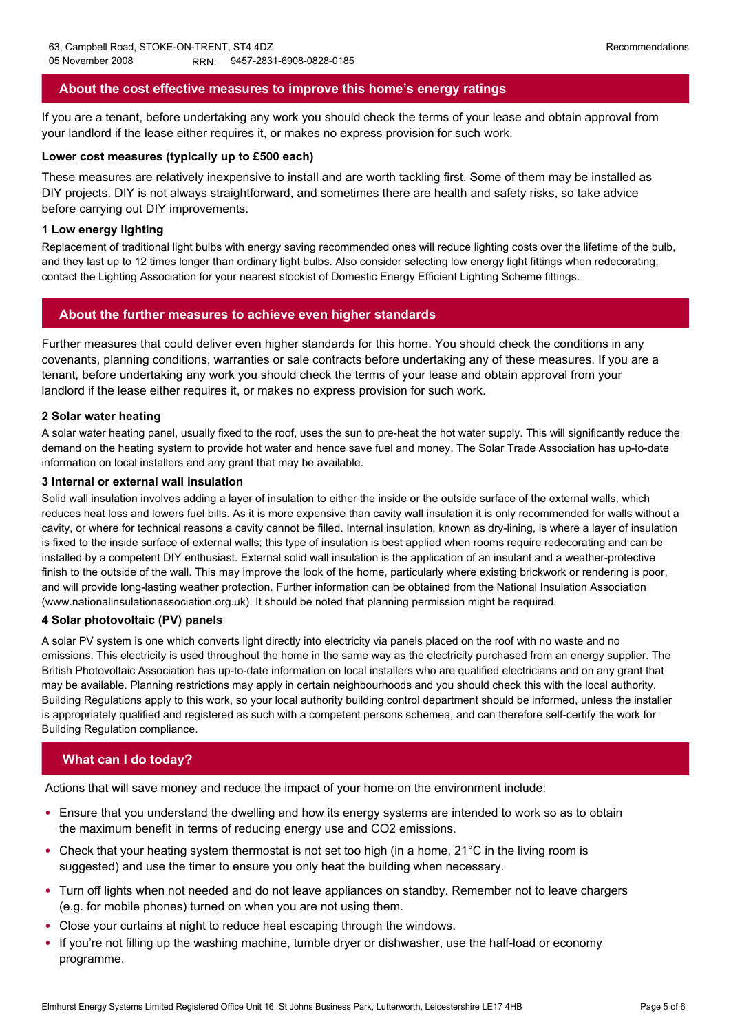# **About the cost effective measures to improve this home's energy ratings**

If you are a tenant, before undertaking any work you should check the terms of your lease and obtain approval from your landlord if the lease either requires it, or makes no express provision for such work.

### **Lower cost measures (typically up to £500 each)**

These measures are relatively inexpensive to install and are worth tackling first. Some of them may be installed as DIY projects. DIY is not always straightforward, and sometimes there are health and safety risks, so take advice before carrying out DIY improvements.

### **1 Low energy lighting**

Replacement of traditional light bulbs with energy saving recommended ones will reduce lighting costs over the lifetime of the bulb, and they last up to 12 times longer than ordinary light bulbs. Also consider selecting low energy light fittings when redecorating; contact the Lighting Association for your nearest stockist of Domestic Energy Efficient Lighting Scheme fittings.

### **About the further measures to achieve even higher standards**

Further measures that could deliver even higher standards for this home. You should check the conditions in any covenants, planning conditions, warranties or sale contracts before undertaking any of these measures. If you are a tenant, before undertaking any work you should check the terms of your lease and obtain approval from your landlord if the lease either requires it, or makes no express provision for such work.

### **2 Solar water heating**

A solar water heating panel, usually fixed to the roof, uses the sun to pre-heat the hot water supply. This will significantly reduce the demand on the heating system to provide hot water and hence save fuel and money. The Solar Trade Association has up-to-date information on local installers and any grant that may be available.

### **3 Internal or external wall insulation**

Solid wall insulation involves adding a layer of insulation to either the inside or the outside surface of the external walls, which reduces heat loss and lowers fuel bills. As it is more expensive than cavity wall insulation it is only recommended for walls without a cavity, or where for technical reasons a cavity cannot be filled. Internal insulation, known as dry-lining, is where a layer of insulation is fixed to the inside surface of external walls; this type of insulation is best applied when rooms require redecorating and can be installed by a competent DIY enthusiast. External solid wall insulation is the application of an insulant and a weather-protective finish to the outside of the wall. This may improve the look of the home, particularly where existing brickwork or rendering is poor, and will provide long-lasting weather protection. Further information can be obtained from the National Insulation Association (www.nationalinsulationassociation.org.uk). It should be noted that planning permission might be required.

#### **4 Solar photovoltaic (PV) panels**

A solar PV system is one which converts light directly into electricity via panels placed on the roof with no waste and no emissions. This electricity is used throughout the home in the same way as the electricity purchased from an energy supplier. The British Photovoltaic Association has up-to-date information on local installers who are qualified electricians and on any grant that may be available. Planning restrictions may apply in certain neighbourhoods and you should check this with the local authority. Building Regulations apply to this work, so your local authority building control department should be informed, unless the installer is appropriately qualified and registered as such with a competent persons schemeą, and can therefore self-certify the work for Building Regulation compliance.

### **What can I do today?**

Actions that will save money and reduce the impact of your home on the environment include:

- Ensure that you understand the dwelling and how its energy systems are intended to work so as to obtain the maximum benefit in terms of reducing energy use and CO2 emissions.
- Check that your heating system thermostat is not set too high (in a home, 21°C in the living room is suggested) and use the timer to ensure you only heat the building when necessary.
- Turn off lights when not needed and do not leave appliances on standby. Remember not to leave chargers (e.g. for mobile phones) turned on when you are not using them.
- Close your curtains at night to reduce heat escaping through the windows.
- If you're not filling up the washing machine, tumble dryer or dishwasher, use the half-load or economy programme.